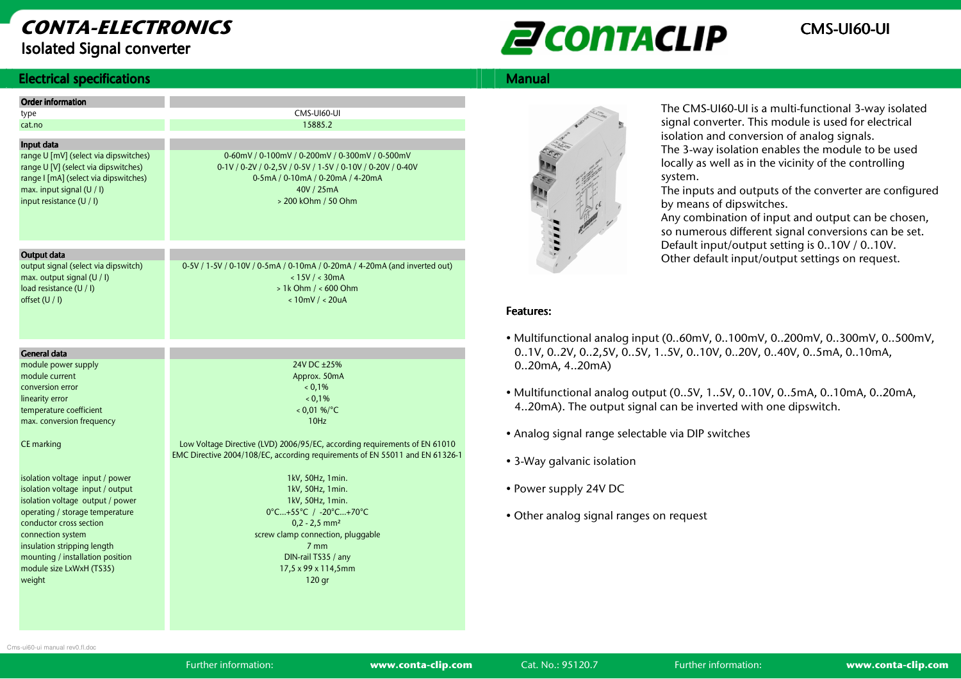# CONTA-ELECTRONICSIsolated Signal converter



#### **Electrical specifications**

| Electrical specifications                  |                                                                              | <b>Manual</b>     |
|--------------------------------------------|------------------------------------------------------------------------------|-------------------|
| <b>Order information</b>                   |                                                                              |                   |
| type                                       | CMS-UI60-UI                                                                  |                   |
| cat.no                                     | 15885.2                                                                      |                   |
| Input data                                 |                                                                              |                   |
| range U [mV] (select via dipswitches)      | 0-60mV / 0-100mV / 0-200mV / 0-300mV / 0-500mV                               |                   |
| range U [V] (select via dipswitches)       | 0-1V / 0-2V / 0-2,5V / 0-5V / 1-5V / 0-10V / 0-20V / 0-40V                   |                   |
| range I [mA] (select via dipswitches)      | 0-5mA / 0-10mA / 0-20mA / 4-20mA                                             |                   |
| max. input signal (U / I)                  | 40V / 25mA                                                                   |                   |
| input resistance (U / I)                   | > 200 kOhm / 50 Ohm                                                          |                   |
|                                            |                                                                              |                   |
|                                            |                                                                              |                   |
|                                            |                                                                              | 1.1.1.1           |
| Output data                                |                                                                              |                   |
| output signal (select via dipswitch)       | 0-5V / 1-5V / 0-10V / 0-5mA / 0-10mA / 0-20mA / 4-20mA (and inverted out)    |                   |
| max. output signal (U / I)                 | < 15V / < 30mA                                                               |                   |
| load resistance (U / I)                    | $> 1k$ Ohm $/ < 600$ Ohm                                                     |                   |
| offset (U / I)                             | $< 10$ mV / $< 20$ uA                                                        |                   |
|                                            |                                                                              | <b>Features:</b>  |
|                                            |                                                                              |                   |
|                                            |                                                                              | • Multifur        |
| <b>General data</b>                        |                                                                              | 0.1V, 0           |
| module power supply                        | 24V DC ±25%                                                                  | 020m/             |
| module current                             | Approx. 50mA                                                                 |                   |
| conversion error                           | 0.1%                                                                         | • Multifur        |
| linearity error<br>temperature coefficient | 0.1%<br>$< 0.01$ %/°C                                                        | 420m/             |
| max. conversion frequency                  | 10Hz                                                                         |                   |
|                                            |                                                                              | $\bullet$ Analog  |
| CE marking                                 | Low Voltage Directive (LVD) 2006/95/EC, according requirements of EN 61010   |                   |
|                                            | EMC Directive 2004/108/EC, according requirements of EN 55011 and EN 61326-1 |                   |
|                                            |                                                                              | $\bullet$ 3-Way g |
| isolation voltage input / power            | 1kV, 50Hz, 1min.                                                             |                   |
| isolation voltage input / output           | 1kV, 50Hz, 1min.                                                             | • Power s         |
| isolation voltage output / power           | 1kV, 50Hz, 1min.                                                             |                   |
| operating / storage temperature            | 0°C+55°C / -20°C+70°C                                                        | • Other a         |
| conductor cross section                    | $0,2 - 2,5$ mm <sup>2</sup>                                                  |                   |
| connection system                          | screw clamp connection, pluggable                                            |                   |
| insulation stripping length                | 7 <sub>mm</sub>                                                              |                   |
| mounting / installation position           | DIN-rail TS35 / any                                                          |                   |
| module size LxWxH (TS35)                   | 17,5 x 99 x 114,5mm                                                          |                   |
| weight                                     | 120 gr                                                                       |                   |
|                                            |                                                                              |                   |



The CMS-UI60-UI is a multi-functional 3-way isolatedsignal converter. This module is used for electrical isolation and conversion of analog signals.

 The 3-way isolation enables the module to be used locally as well as in the vicinity of the controlling system.

 The inputs and outputs of the converter are configured by means of dipswitches.

 Any combination of input and output can be chosen, so numerous different signal conversions can be set. Default input/output setting is 0..10V / 0..10V. Other default input/output settings on request.

#### Features: Features:

- Multifunctional analog input (0..60mV, 0..100mV, 0..200mV, 0..300mV, 0..500mV, 0..1V, 0..2V, 0..2,5V, 0..5V, 1..5V, 0..10V, 0..20V, 0..40V, 0..5mA, 0..10mA, 0..20mA, 4..20mA)
- Multifunctional analog output (0..5V, 1..5V, 0..10V, 0..5mA, 0..10mA, 0..20mA, 4..20mA). The output signal can be inverted with one dipswitch.
- Analog signal range selectable via DIP switches
- 3-Way galvanic isolation
- Power supply 24V DC
- Other analog signal ranges on request